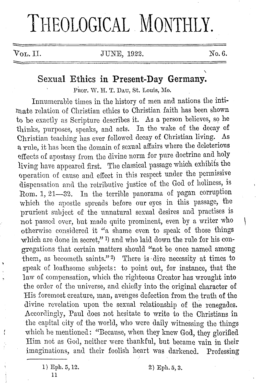# THEOLOGICAL MONTHLY.

 $V_{\text{OL}}$ , II. JUNE, 1922. No. 6.

# **Sexual Ethics in Present-Day Germany.**

PROF. W. H. T. DAU, St. Louis, Mo.

Innumerable times in the history of men and nations the inti mate relation of Christian ethics to Christian faith has been shown to be exactly as Scripture describes it. As a person believes, so he thinks, purposes, speaks, and acts. In the wake of the decay of Christian teaching has ever followed decay of Christian living. As a rule, it has been the domain of sexual affairs where the deleterious effects of apostasy from the divine norm for pure doctrine and holy living have appeared first. The classical passage which exhibits the operation of cause and effect in this respect under the permissive dispensation and the retributive justice of the God of holiness, is Rom. 1, 21-32. In the terrible panorama of pagan corruption which the apostle spreads before our eyes in this passage, the prurient subject of the unnatural sexual desires and practises is not passed over, hut made quite prominent, even by a writer who otherwise considered it "a shame even to speak of those things which are done in secret," 1) and who laid down the rule for his congregations that certain matters should "not be once named among them, as becometh saints." 2) There is dire necessity at times to speak of loathsome subjects: to point out, for instance, that the law of compensation, which the righteous Creator has wrought into the order of the universe, and chiefly into the original character of His foremost creature, man, avenges defection from the truth of the divine revelation upon the sexual relationship of the renegades. Accordingly, Paul does not hesitate to write to the Christians in the capital city of the world, who were daily witnessing the things which he mentioned: "Because, when they knew God, they glorified Him not as God, neither were thankful, but became vain in their imaginations, and their foolish heart was darkened. Professing

<sup>1)</sup> Eph. G, 12. 11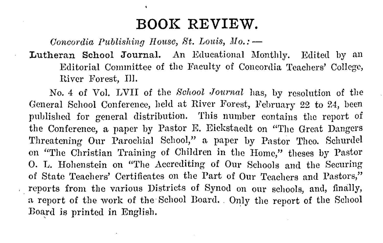# **BOOK REVIEW.**

*Concordia Publishing House, St. Louis, Mo.:* -

### Lutheran School Journal. An Educational Monthly. Edited by an Editorial Committee of the Faculty of Concordia Teachers' College, River Forest, Ill.

No. 4 of Vol. LVII of the *School ,lournal* has, by resolution of the General School Conference, held at River Forest, February 22 to 24, been published for general distribution. This number contains the report of the Conference, a paper by Pastor R Eickstaedt on "The Great Dangers Threatening Our Parochial School," a paper by Pastor Theo. Schurdel on "The Christian Training of Children in the Home," theses by Pastor 0. L. Hohenstein on "The Accrediting of Our Schools and the Securing of State Teachers' Certificates on the Part of Our Teachers and Pastors," reports from the various Districts of Synod on our schools, and, finally, a report of the work of the School Board. Only the report of the School Board is printed in English.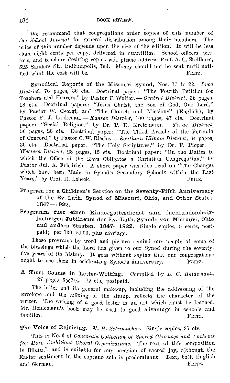We recommend that congregations order copies of this number of School Journal for general distribution among their members. The the *School Journal* for general distribution among their members. price of this number depends upon the size of the edition. It will be less than eight cents per eopy, delivered in quantities. School ollicers, pastors, and teachers desiring copies will please address Prof. A. C. Stellhorn, 525 Sanders St., Indianapolis, Ind. Money should not be sent until noti-<br>fied what the cost will be fied what the cost will be.

Synodical Reports of the Missouri Synod, Nos. 17 to 22. *Iowa District,* 76 pages, 3G cts. Doctrinal paper: "Tho Fourth Petition for · Teachers and Hearers," by Pastor F. Wolter. - *Central District*, 36 pages, 18 'cts. Doctrinal papers: "Jesus Christ, the Son of God, Our Lord," by Pastor W. Georgi, and "The Church and Missions" (English), by Pastor F. J. Lankenau. - *Kansas District*, 100 pages, 47 ets. Doctrinal paper: "Social Religion," by Dr. P. E. Kretzmann. - *Texas District*, 56 pages, 28 cts. Doctrinal paper: "The Third Article of the Formula of Concord," by Pastor C. W. Rische. - *l:foiithern Illinois District,* 04 pages, 30 cts. , Doctrinal paper: "The Holy Scriptures," by Dr. F. Pieper. -*lVestern Dfatrict,* 28 pages, 15 cts. Doctrinal paper: "On the Duties to which the Office of the Keys Obligates a Christian Congregation," by Pastor Jul. A. Friedrich. A short paper was also read on "The Changes which have been Made in Synod's Secondary Schools within the Last Years," by Prof. H. Lobeck. FRITZ. Years," by Prof. H. Lobeck.

- Program for a Children's Service on the Seventy-Fifth Anniversary of the Ev. Luth. Synod of Missouri, Ohio, and Other States. 1847-1922.
- Programm fuer einen Kindergottesdienst zum fuenfundsiebzigjaehrigen Jubilaemn der Ev.-Luth. Synode von Missouri, Ohio und andern Staaten. 1847-1922. Single copies, 5 cents, postpaid; per 100, \$4.00, plus carriage.

These programs by word and picture remind our people of some of the blessings which the Lord has given to our Synod during the seventyfive years of its history. It goes without saying that our congregations ought to use them in celebrating Synod's anniversary. FRITZ.

A Short Course in Letter-Writing. Compiled by *L. C. Heidemann.*  27 pages,  $5 \times 7\frac{1}{2}$ . 15 cts., postpaid.

The letter and its general make-up, including the addressing of the envelope and the affixing of the stamp, reflects the character of the writer. The writing of a good letter is an art which must be learned. Mr. Heidemann's book may be used to good advantage in schools and families. families. FRITZ.

The Voice of Rejoicing. *M. H. Schumacher.* Single copies, 35 cts.

This is No. 6 of *Concordia Collection of Sacred Choruses and Anthems for More Ambitious Choral Organizations.* The text of this composition is Biblical, and is suitable for any occasion of sacred joy, although the Easter sentiment in the soprano solo is predominant. Text, both English and German. Partle and German.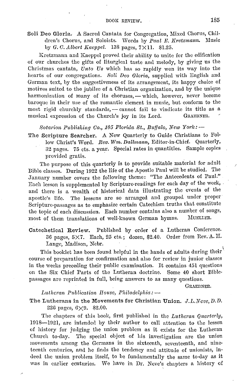Soli Deo Gloria. A Sacred Cantata for Congregation, Mixed Chorus, Children's Chorus, and Soloists. Words by *Paul E. Kretzmann*. Music by *G. C. Albert Kaeppel.* 138 pages, 7×11. \$1.25.

Kretzmann and Kaeppcl proved their ability to unite ior the edification of our churches the gifts of liturgical taste and melody, by giving us the Christmas cantata, Unto Us which has so rapidly won its way into the hearts of our congregations. *Holi Deo Gloria,* supplied with English and German text, by the suggestiveness of its arrangement, its happy choice of motives suited to the jubilee of a Christian organization, and by the unique harmonization of many of its choruses, - which, however, never become baroque in their use of the romantic element in music, but conform to the most rigid churchly standards, -- cannot fail to vindicate its title as a musical expression of the Church's joy in its Lord. GRAEBNER. musical expression of the Church's joy in its Lord.

 $\emph{Notarion Publishing Co., 105 Florida St., Buffalo, New York: -}$ 

The Scripture Searcher. A New Quarterly to Guide Christians to Fol· low Christ's Word. Rev. Wm. Dallmann, Editor-in-Chief. Quarterly, 32 pages. 75 cts. a year. Special rates in quantities. Sample copies provided gratis.

The purpose of this quarterly is to provide suitable material for adult Bible classes. During 1922 the life of the Apostle Paul will be studied. The January number covers the following theme: "The Antecedents of Paul." Each lesson is supplemented by Scripture-readings for each day of the week, and there is a wealth of historical data illustrating the events of the apostle's life. The lessons are so arranged and grouped under proper Scripture-passages as to emphasize certain Catechism truths that constitute the topic of each discussion. Each number contains also a number of songs, most of them translations of well-known German hymns. MUELLER,

Catechetical Review. Published by order of a Lutheran Conference. 36 pages, 5X7. Each, 25 cts.; dozen, \$2.40. Order from Rev. A. II. Lange, Madison, Nebr.

This booklet has been found helpful in the hands of adults during their course of preparation for confirmation and also for review in junior classes in the weeks preceding their public examination. It contains 451 questions on the Six Chief Parts of the Lutheran doctrine. Some 40 short Biblepassages are reprinted in full, being answers to as many questions.

GRAEBNER.

#### *Lutheran Publication House, Philadelphia:*  $-$

The Lutherans in the Movements for Christian Union . *.* J. *L. Neve, D. D.*  226 pages,  $6 \times 9$ . \$2.00.

The chapters of this book, first published in the *Lutheran Quarterly,*  1918-1921, are intended by their author to call attention to the lesson of history for judging the union problem as it exists for the Lutheran Church to-day. Tho special object of his investigation are the union movements among the Germans in the sixteenth, seventeenth, and nineteenth centuries, and he finds the tendency and attitude of unionists, indeed the union problem itself, to be fundamentally the same to-day as it was in earlier centuries. We have in Dr. Neve's chapters a history of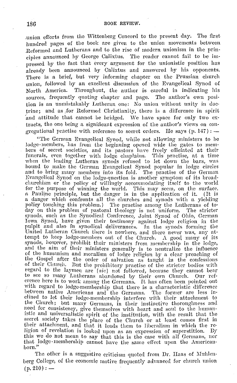.union efforts from the Wittenberg Concord to the present day. The first hundred pages of the book are given to the union movements between Reformed and Lutherans and to the rise of modern unionism in the principles announced by George Calixtus. The reader cannot fail to be impressed by the fact that every argument for the unionistic position has already been announced by Calixtus and answered by his opponents. There is a brief, but very informing chapter on the Prussian church union, followed by an excellent discussion of the Evangelical Synod of North America. Throughout, the author is careful in indicating his Throughout, the author is careful in indicating his sources, frequently quoting chapter and page. The author's own position is an unmistakably Lutheran one: *No* union without unity in doctrine; and as /or Reformed Christianity, there is a difference in spirit and attitude that cannot be bridged. We have space for only two extracts, the one being a signilicant expression of the author's views on congregational practise with reference to secret orders. He says  $(p, 147)$ :

"The German Evangelical Synod, while not allowing ministers to be lodge-members, has from the beginning opened wide the gates to members of secret societies, and its pastors have freely officiated at their funerals, even together with lodge chaplains. This practise, at a time when the leading Lutheran synods refused to let down the bars, was bound to make the German Evangelical Synod popular in lodge circles and to bring many members into its fold. The practise of the German Evangelical Synod on the lodge-question is another symptom of its hroadchurchism or the policy of willingly accommodating itself to the world for the purpose of winning the world. This may seem, on the surface, a Pauline principle, but the danger is in the application of it. (It is a danger which confronts all the churches and synods with a yielding a danger which confronts all the churches and synods with a yielding<br>policy touching this problem.) The practise among the Lutherans of to-<br>day on this problem of pastoral theology is not uniform. The stricter day on this problem of pastoral theology is not uniform. synods, such as the Synodical Conference, Joint Synod of Ohio, German Iowa Synod, have given their testimony against lodge religion in the<br>pulpit and also in synodical deliverances. In the synods forming the<br>United Lutheran Church there is nowhere, and there never was, any attempt to keep lodge-members out of the Church.  $\Lambda$  good many of its synods, however, prohibit their ministers from membership in the lodge, and the aim of their ministers generally is to neutralize the influence of the humanism and moralism of lodge religion by a clear preaching of the Gospel after the order of salvation as taught in the confessions of their Church. But the prohibitory practise of the stricter bodies with regard to the laymen are  $\lceil \mathit{sic} \rceil$  not followed, because they cannot bear to see so many Lutherans abandoned by their own Church. Our ref-<br>erence here is to work among the Germans. It has often been pointed out<br>with regard to lodge-membership that there is a characteristic difference between native Americans and the Germans. The former are less inclined to let their lodge-membership interfere with their attachrnent to the Church; but many Germans, in their instinctive thoroughness and need for consistency, give themselves with heart and soul to the humanistic and universalistic spirit of the institution, with the result that the secret society takes the place of the Church or at least comes first in their attachment, and that it leads them to liberalism in which the reliqion of revelation is looked upon as an expression of superstition. Dy this we do not mean to say that this is the case with all Germans, nor that lodge-membership cannot have the same effect upon the Americanborn."

The other is a suggestive criticism quoted from Dr. Haas of Muhlenberg College, of the economic motive frequently advanced for chnrch union  $(p. 210): -$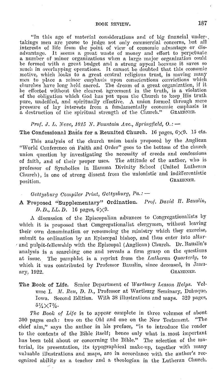"In this age of material considerations and of big financial under-. takings men are prone to judge not only commercial concerns, but all interests of life from the point of view of economic advantage or disadvantage. It seems a great waste of money and effort to perpetuate a number of minor organizations when a large major organization could where the formed with a great budget and a strong appeal because it saves so much in overlapping operations. It cannot be doubted that this economic motive, which looks to a great central religious trust, is moving many motive, which looks to a great central religious trust, is moviug many men to place a minor emphasis upon conscientious convictions which churches have long held sacred. The dream of a great organization, if it be effected without the clearest agreement in the truth, is a violation of the obligation which God has put upon the Church to keep, His truth pure, undefiled, and spiritually effective. A union formed through mere<br>pressure of lay interests from a fundamentally economic emphasis is a destruction of the spiritual strength of the Church." GRAEBNER,

#### *Prof. J. L. Neve, 1015 N. Fountain Ave., Springfield, O.:*  $-$

The Confessional Basis for a Reunited Church. 16 pages,  $6 \times 9$ . 15 cts.

This analysis of the church union basis proposed by the Anglican "World Conference on Faith and Order" goes to the bottom of the church union question by investigating the necessity of creeds and confessions of faith, and of their proper uses. The nttitude of the author, who is professor of Symbolics in Hamma Divinity School (United Lutheran Church), is one of strong dissent from the unionistic and indifferentistic negation. position. GRAEDNER.

- *Oettysburg Compiler Print, Gettysburg, Pa.:*  $-$
- A Proposed ''Supplementary" Ordination. *l'rof. David II. Bauslin,*  D. D., *LL. D.* 16 pages,  $6 \times 9$ .

A discussion of the Episcopalian advances to Congregationalists by which it is proposed that Congregationalist elergymen, without leaving their own denomination or renouncing the ministry which they exercise, submit to ordination by an Episcopal bishop, and thus enter into altar· , and pulpit-fellowship with the Episcopal (Anglican) Church. Dr. Bauslin's analysis is a searching one and reveals a firm grasp on the questions at issue. The pamphlet is a reprint from the *Lutheran Quarterly*, to which it was contributed by Professor Bauslin, since deceased, in Janu-<br>ary, 1922. <br>GRAERNER. ary, 1922.

The Book of Life. Senior Department of *Wartburg Lesson !Ielps.* Volume I. M. Reu, D. D., Professor at Wartburg Seminary, Dubuque, Iowa. Second Edition. With 38 illustrations and maps. 320 pages,  $5\frac{1}{4}\times7\frac{3}{4}$ .

*1'he Book of Life* is to appear complete in three volumes of about 300 pages each: two on the Old nml one on the New Testament. "The chief aim," says the author in his preface, "is to introduce the reader to the contents of the Dible itself; hence only what is. most important has been told about or concerning the Dible." The selection of the ma· terial, its presentation, its typographical make-up, together with many valuable illustrations and maps, are in accordance with the author's recognized ability as a teacher and a theologian in the Lutheran Church.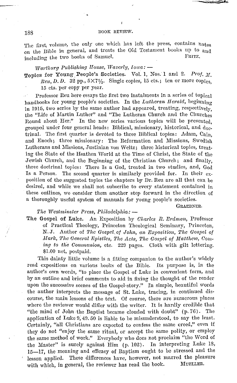#### 188 BOOK REVIEW.

The first, volume, the only one which has left the press, contains notes on the Bible in general, and treats the Old Testament books up to and<br>in the two books of Samuel FRITZ. including the two books of Samuel.

#### *Wartburg Publishing House, Waverly, Iowa: -*

Topics for Young People's Societies. Vol. 1, Nos. 1 and 2. Prof. M.  $\text{Re}u, D, D.$  32 pp.,  $5 \times 7\frac{1}{2}$ . Single copies, 15 cts.; ten or more copies. 15 cts. per copy per year.

Professor Reu here essays the first two instalments in a series of topical handbooks for young people's societies. In the *Lutheran Herald*, beginning in 1915, two series by the same author had appeared, treating, respectively, the "Life of Martin Luther" and "The Lutheran Church and the Churches Round about Her." In the new series various topics will be presented. grouped under four general heads: Biblical, missionary, historical, and doctrinal. The first quarter is devoted to three Biblical topics: Adam, Cain, and Enoch; three missionary: The Reformation and Missions, Swedish Lutherans and Missions, Justinian vou Weltz; three historical topics, treating the State of the Heathen World at the Time of Christ, the State of the Jewish Church, and the Beginning of the Christian Church; and finally, three doctrinal topics: There Is a God, treated in two studies, and, God Is a Person. The second quarter is similarly provided for. In their exposition of the suggested topics the chapters by Dr. Reu are all that can be desired, and while we shall not subscribe to every statement contained in these outlines, we consider them another step forward in the direction of a thoroughly useful system of manuals for young people's societies.

GRAEBNER.

#### *The Westminster Press, Philadelphia:* -

The Gospel of Luke. An Exposition by *Charles R. Erdman*, Professor of Practical Theology, Princeton Theological Seminary, Princeton, N. J. Author of *The Gospel*, of John, an *Exposition*, The Gospel of *Mark, The General Epistles, The Acts, The Gospel of Matthew, Com*ing to the Communion, etc. 229 pages. Cloth with gilt lettering. \$1.00 net, postpaid.

This dainty little volume is a fitting companion to the author's widely read expositions on various hooks of the Bible. Its purpose is, in the author's own 'words, "to place the Gospel of Luke in convenient form, and hy an outline and brief comments to aid in fixing the thought of the reader upon the successive scenes of the Gospel-story." In simple, beautiful words the author interprets the message of St. Luke, tracing, in continued discourse, the main lessons of the text. Of course, there are numerous places where the reviewer would differ with the writer. It is hardly credible that "the mind of John the Baptist became clouded with doubt"  $(p. 76)$ . The application of Luke 9, 49.50 is liable to be misunderstood, to say the least. Certainly, "all Christians are expected to confess the same creed," even if they do not "enjoy the same ritual, or accept the same polity, or employ the same method of work." Everybody who does not proclaim "the Word of the Master" is surely against Him (p. 102). In interpreting Luke 18, 15-17, the meaning and efficacy of Baptism ought to be stressed and the lesson applied. These differences have, however, not marred the pleasure with which, in general, the reviewer has read the book. MUELLER.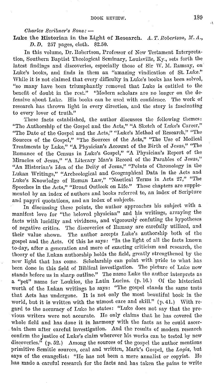*Charles lfoi·ibner's Hons:* -

Luke the Historian in the Light of Research. A.T. Robertson, M.A., *D. D.* 257 pages, cloth. \$2.50.

In this volume, Dr. Robertson, Professor of New Testament Interpretation, Southern Baptist Theological Seminary, Louisville, Ky., sets forth the latest findings and discoveries, especially those of Sir W. M. Ramsay, on Luke's books, and finds in them an "amazing vindication of St. Luke." While it is not claimed that every difficulty in Luke's books has been solved, "so many have been triumphantly removed that Luke is entitled to the benefit of doubt in the rest." "Modern scholars are no longer on the defensive about Luke. His books can be used with confidence. The work of research has thrown light in every direction, and the story is fascinating to every lover of truth."

These facts established, the author discusses the following themes: "The Authorship of the Gospel and the Acts," "A Sketch of Luke's Career," "The Date of the Gospel and the Acts," "Luke's Method of Research," "The Sources of the Gospel," "The Sources of the Acts," "The Use of Medical Treatments by Luke," "A Physician's Account of the Birth of Jesus," "The Romance of the Census in Luke's Gospel," "A Physician's Report of the Miracles of Jesus," "A Literary Man's Record of the Parables of Jesus," "An Historian's Idea of the Deity of Jesus," "Points of Chronology in the Lukan Writings," "Archeological and Geographical Data in the Acts and Luke's Knowledge of Roman Law," "Nautical Terms in Acts 27," "The Speeches **in** the Acts," "Broad Outlook on Life." These chapters are supplemented by an index of authors and books referred to, an index of Scripture and papyri quotations, and an index of subjects.

In discussing these points, the author approaches his suhject with a manifest love for "the heloved physician" and his writings, arraying the facts with lucidity and vividness, and vigorously confuting the hypotheses of negative critics. The discoveries of Ramsay are carefully utilized, and their value shown. The author accepts Luke's authorship both of the gospel and the Acts. Of this he says: "In the light of all the facts known to-day, after a generation and more of exacting criticism and research, the theory of the Lukan authorship holds the field, greatly strengthened by the new light that has come. Scholarship can point with pride to what has been done in this field of Biblical investigation. The picture of Luke now stands before us in sharp outline." The name Luke the author interprets as a "pet" name for Loukios, the Latin Lucius. (p. 16.) Of the historical worth of the Lukan writings he says: "The gospel stands the same tests that Acts has umlergone. It is not only the most beautiful book in the world, but it is written with the utmost care and skill." (p. 41.) With regard to the accuracy of Luke he states: "Luke does not say that the previous writers were not accurate. Ile only claims that he has covered the whole field and has done it in harmony with the facts as he could ascertain them after careful investigation. And the results of modern research confirm the Justice of Luke's claim wherever his works can he tested by new discoveries."  $(p. 52.)$  Among the sources of the gospel the author mentions primitive Semitic sources, oral and written, Mark's Gospel, the *Logia,* hut says of the evangelist: "He has not hecn a mere annalist or copyist. Ile has made a careful research for the facts and has taken the pains to write

,,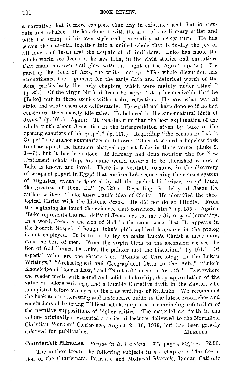a narrative that is more complete than any in existence, aml that is accurate and reliable. He has done it with the skill of the literary artist and with the stamp of his own style and personality at every turn. He has woven the material together into a unified whole that is to-day the joy of all lovers of Jesus and the despair of all imitators. Luke has made the whole world see Jesus as he saw Him, in the vivid stories and narratives<br>that made his own soul glow with the Light of the Ages." (p. 75.) Rethat made his own soul glow with the Light of the Ages."  $(p. 75)$ garding the Book of Acts, the writer states: "The whole discussion has strengthened the argument for the early date and historical worth of the Acts, particularly the early chapters, which were mainly under attack." (p. SD.) Of the virgin birth of Jesus he says: "It is inconceivable that he [Luke] put in these stories without due reflection. He saw what was at stake and wrote them out deliberately. He would not have done so if he had considered them merely idle tales. He believed in the supernatural birth of Jesus." (p.107.) Again: "It remains true that the best explanation of the whole truth about Jesus lies in the interpretation given by Luke in the opening chapters of his gospel." (p. 117.) Regarding "the census in Luke's Gospel," the author summarizes as follows: "Once it seemed a hopeless task to clear up all the blunders charged against Luke in these verses (Luke 2, 1-7), but it has been done. If Ramsay had done nothing else for New Testament scholarship, his name would deserve to be cherished wherever Luke is known and loved. There is a veritable romance in the discovery of scraps of papyri in Egypt that confirm Luke concerning the census system of Augustus, which is ignored by all the ancient historians except Luke, the greatest of them all." (p. 120.) Regarding the deity of Jesus the author writes: "Luke knew Paul's idea of Christ. He identified the theological Christ with the historic Jesus. He did not do so blindly. From the beginning he found the evidence that convinced him." ( p. 155.) Again: "Luke represents the real deity of Jesus, not the mere divinity of humanity. In a word, Jesus is the Son of God in the same sense that He appears in the Fourth Gospel, although John's philosophical language in the prolog is not employed. It is futile to try to make Luke's Christ a mere man, even the best of men. From the virgin birth to the ascension we sec the Son of God limned by Luke, the painter and the historian." (p. 161.) Of especial value are the chapters on "Points of Chronology in the Lukan Writings," "Archeological and Geographical Data in the Acts," "Luke's Knowledge of Roman Law," and "Nautical Terms in Acts 27." Everywhere the reader meets with sound and solid scholarship, deep appreciation of the value of Luke's writings, and a humble Christian faith in the Savior, who is depicted before our eyes in the able writings of St. Luke. We recommend the book as an interesting and instructive guide in the latest researches and conclusions of believing Biblical scholarship, and a convincing refutation of the negative suppositions of higher critics. The material set forth in the volume originally constituted a series of lectures delivered to the Northfield Christian Workers' Conference, August 2-16, 1919, but has been greatly enlarged for publication.  $M$ UELLER.

Counterfeit Miracles. *Benjamin B. Warfield.* 327 pages,  $5\frac{1}{1}\times8$ . \$2.50.

The author treats the following subjects in six chapters: The Cessation of the Charismata, Patristic and Medieval Marvels, Roman Catholic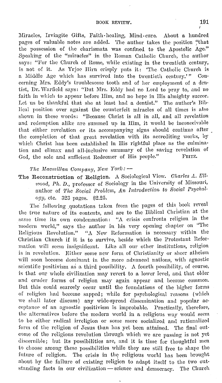Miracles, Irvingite Gifts, Faith-healing, Mind-cure. About a hundred pages of valuable notes are added. The author takes the position "that the possession of the charismata was confined to the Apostolic Age." Speaking of the "miracles" in the Roman Catholic Church, the author says: "For the Church of Rome, while existing in the twentieth century, is not of it. As Yrjoe Hirn crisply puts it: "The Catholic Church is<br>a Middle Age which has survived into the twentieth century'" Cona Middle Age which has survived into the twentieth century.'" cerning Mrs. Eddy's troublesome tooth and of her employment of a dentist, Dr. Warfield says: "But Mrs. Eddy had no Lord to pray to, and no faith in which to appear before Him, and no hope in His almighty succor. Let us bo thankful that she at least had a dentist." The author's Bib· lical position over against the counterfeit miracles of all times is also shown in these words: "Because Christ is all in all, and all revelation and redemption alike arc summed up in Him, it would be inconceivable that either revelation or its accompanying signs should continue after the completion of that great revelation with its accrediting works, by which Christ has been established in His rightful place as the culmination and climax and all-inclusive summary of the saving revelation of God the sole and sufficient Rodecmer of His neople." FRITZ. God, the sole and sufficient Redeemer of His people."

*'l'he Macmillan Company, New York:* -

The Reconstruction of Religion. A Sociological View. *Charles A. Ellwood, Ph. D., professor of Sociology in the University of Missouri,* author of *The Social Problem, An Introduction to Social Psychology*, *etc.* 323 pages. \$2.25.

The following quotations taken from the pages of this book reveal the true nature of its contents, and are to the Biblical Christian at the same time its own condemnation: "A crisis confronts religion in the modern world," says the author in his very opening chapter on "The Religious Revolution." "A New Reformation is necessary within the Christian Church if it is to survive, beside which the Protestant Refornmtion will seem insignificant. Like all our other institutions, religion is in revolution. Either some new form of Christianity or sheer atheism will soon become dominant in the more advanced nations, with agnostic scientific positivism as a third possibility. A fourth possibility, of course, is that our whole civilization may revert to a lower level, and that older and cruder forms of religion may again appear and become common. But this could scarcely occur until the foundations of the higher forms of religion had become sapped; while for psychological reasons (which we shall later discuss) any wide-spread dissemination and popular acceptance of an agnostic positivism is improbable. Practically, therefore, the alternatives before the modern world in a religious way would seem to be either radical irreligion or some more socialized and rationalized form of the religion of Jesus than has yet been attained. The final outcome of the religious revolution through which we are passing is not yet discernible; but its possibilities are, and it is time for thoughtful men to choose among these possibilities while they are still free to shape the future of religion. The crisis in the religious world has been brought ahout by the failure of existing religion to adapt itself to the two outstanding facts in our civilization - science and democracy. The Church